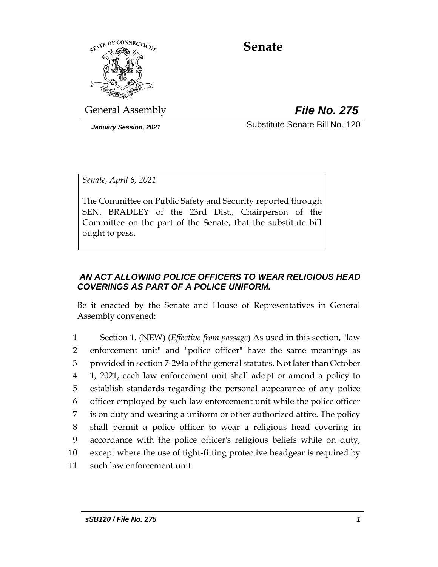

# **Senate**

General Assembly *File No. 275*

*January Session, 2021* Substitute Senate Bill No. 120

*Senate, April 6, 2021*

The Committee on Public Safety and Security reported through SEN. BRADLEY of the 23rd Dist., Chairperson of the Committee on the part of the Senate, that the substitute bill ought to pass.

## *AN ACT ALLOWING POLICE OFFICERS TO WEAR RELIGIOUS HEAD COVERINGS AS PART OF A POLICE UNIFORM.*

Be it enacted by the Senate and House of Representatives in General Assembly convened:

 Section 1. (NEW) (*Effective from passage*) As used in this section, "law enforcement unit" and "police officer" have the same meanings as provided in section 7-294a of the general statutes. Not later than October 1, 2021, each law enforcement unit shall adopt or amend a policy to establish standards regarding the personal appearance of any police officer employed by such law enforcement unit while the police officer is on duty and wearing a uniform or other authorized attire. The policy shall permit a police officer to wear a religious head covering in accordance with the police officer's religious beliefs while on duty, except where the use of tight-fitting protective headgear is required by such law enforcement unit.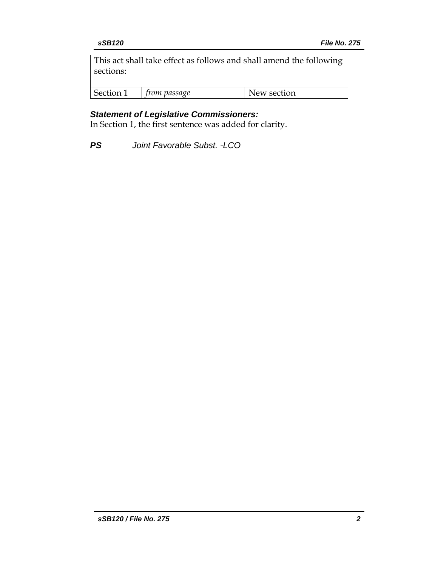This act shall take effect as follows and shall amend the following sections:

| Section 1 | trom passage | New section |
|-----------|--------------|-------------|
|           |              |             |

## *Statement of Legislative Commissioners:*

In Section 1, the first sentence was added for clarity.

*PS Joint Favorable Subst. -LCO*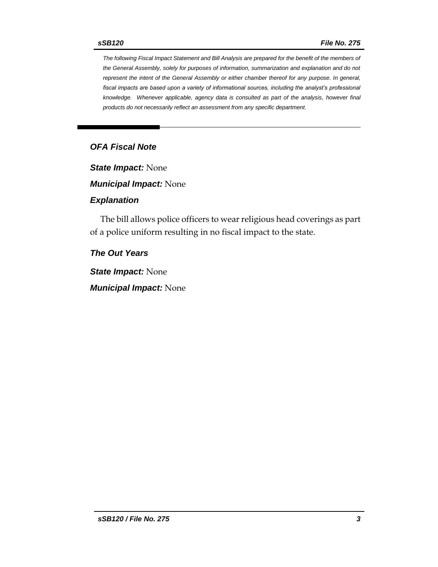*The following Fiscal Impact Statement and Bill Analysis are prepared for the benefit of the members of the General Assembly, solely for purposes of information, summarization and explanation and do not represent the intent of the General Assembly or either chamber thereof for any purpose. In general, fiscal impacts are based upon a variety of informational sources, including the analyst's professional knowledge. Whenever applicable, agency data is consulted as part of the analysis, however final products do not necessarily reflect an assessment from any specific department.*

## *OFA Fiscal Note*

*State Impact:* None

*Municipal Impact:* None

#### *Explanation*

The bill allows police officers to wear religious head coverings as part of a police uniform resulting in no fiscal impact to the state.

#### *The Out Years*

*State Impact:* None

*Municipal Impact:* None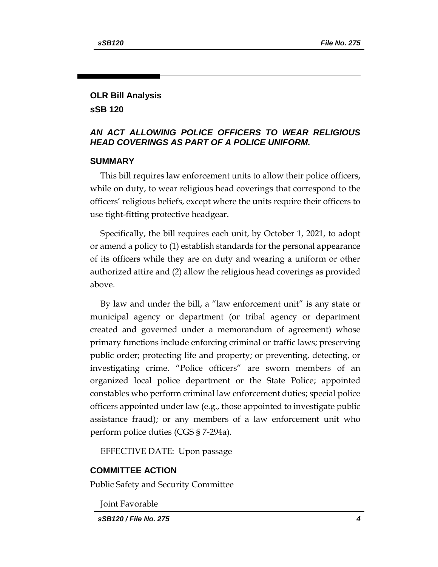## **OLR Bill Analysis sSB 120**

### *AN ACT ALLOWING POLICE OFFICERS TO WEAR RELIGIOUS HEAD COVERINGS AS PART OF A POLICE UNIFORM.*

#### **SUMMARY**

This bill requires law enforcement units to allow their police officers, while on duty, to wear religious head coverings that correspond to the officers' religious beliefs, except where the units require their officers to use tight-fitting protective headgear.

Specifically, the bill requires each unit, by October 1, 2021, to adopt or amend a policy to (1) establish standards for the personal appearance of its officers while they are on duty and wearing a uniform or other authorized attire and (2) allow the religious head coverings as provided above.

By law and under the bill, a "law enforcement unit" is any state or municipal agency or department (or tribal agency or department created and governed under a memorandum of agreement) whose primary functions include enforcing criminal or traffic laws; preserving public order; protecting life and property; or preventing, detecting, or investigating crime. "Police officers" are sworn members of an organized local police department or the State Police; appointed constables who perform criminal law enforcement duties; special police officers appointed under law (e.g., those appointed to investigate public assistance fraud); or any members of a law enforcement unit who perform police duties (CGS § 7-294a).

EFFECTIVE DATE: Upon passage

#### **COMMITTEE ACTION**

Public Safety and Security Committee

Joint Favorable